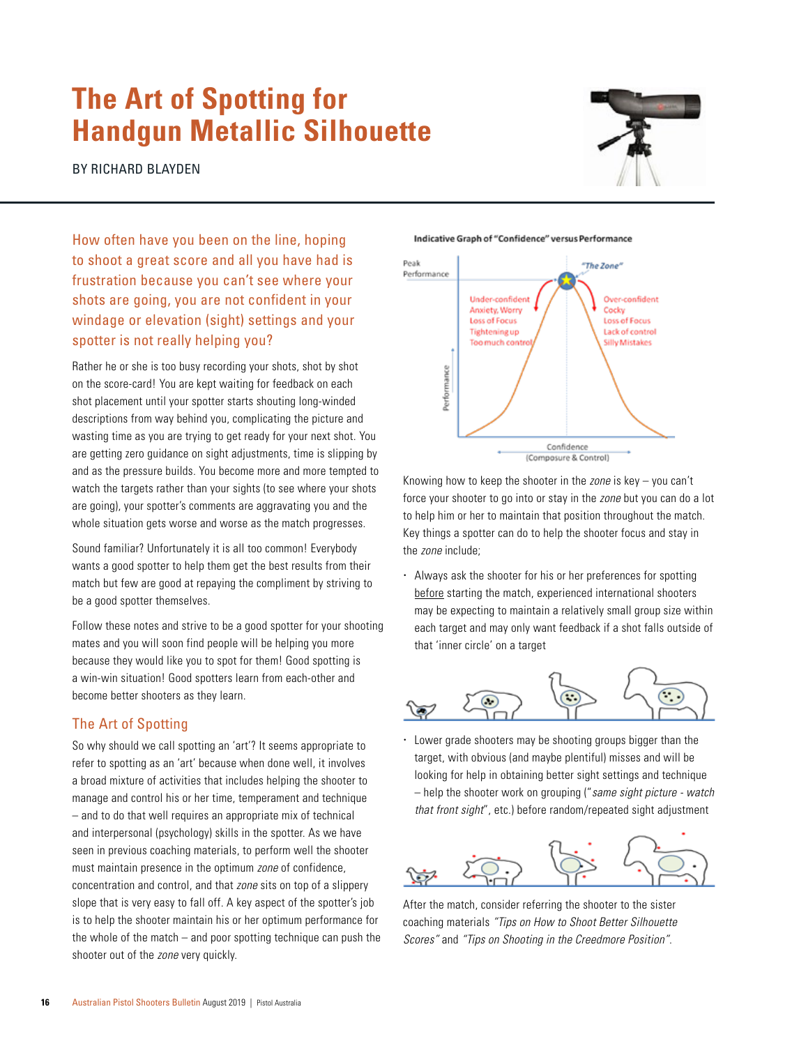## **The Art of Spotting for Handgun Metallic Silhouette**

BY RICHARD BLAYDEN



How often have you been on the line, hoping to shoot a great score and all you have had is frustration because you can't see where your shots are going, you are not confident in your windage or elevation (sight) settings and your spotter is not really helping you?

Rather he or she is too busy recording your shots, shot by shot on the score-card! You are kept waiting for feedback on each shot placement until your spotter starts shouting long-winded descriptions from way behind you, complicating the picture and wasting time as you are trying to get ready for your next shot. You are getting zero guidance on sight adjustments, time is slipping by and as the pressure builds. You become more and more tempted to watch the targets rather than your sights (to see where your shots are going), your spotter's comments are aggravating you and the whole situation gets worse and worse as the match progresses.

Sound familiar? Unfortunately it is all too common! Everybody wants a good spotter to help them get the best results from their match but few are good at repaying the compliment by striving to be a good spotter themselves.

Follow these notes and strive to be a good spotter for your shooting mates and you will soon find people will be helping you more because they would like you to spot for them! Good spotting is a win-win situation! Good spotters learn from each-other and become better shooters as they learn.

## The Art of Spotting

So why should we call spotting an 'art'? It seems appropriate to refer to spotting as an 'art' because when done well, it involves a broad mixture of activities that includes helping the shooter to manage and control his or her time, temperament and technique – and to do that well requires an appropriate mix of technical and interpersonal (psychology) skills in the spotter. As we have seen in previous coaching materials, to perform well the shooter must maintain presence in the optimum *zone* of confidence, concentration and control, and that *zone* sits on top of a slippery slope that is very easy to fall off. A key aspect of the spotter's job is to help the shooter maintain his or her optimum performance for the whole of the match – and poor spotting technique can push the shooter out of the *zone* very quickly.

Indicative Graph of "Confidence" versus Performance



Knowing how to keep the shooter in the *zone* is key – you can't force your shooter to go into or stay in the *zone* but you can do a lot to help him or her to maintain that position throughout the match. Key things a spotter can do to help the shooter focus and stay in the *zone* include;

 Always ask the shooter for his or her preferences for spotting before starting the match, experienced international shooters may be expecting to maintain a relatively small group size within each target and may only want feedback if a shot falls outside of that 'inner circle' on a target



 Lower grade shooters may be shooting groups bigger than the target, with obvious (and maybe plentiful) misses and will be looking for help in obtaining better sight settings and technique – help the shooter work on grouping ("*same sight picture - watch that front sight*", etc.) before random/repeated sight adjustment



After the match, consider referring the shooter to the sister coaching materials *"Tips on How to Shoot Better Silhouette Scores"* and *"Tips on Shooting in the Creedmore Position"*.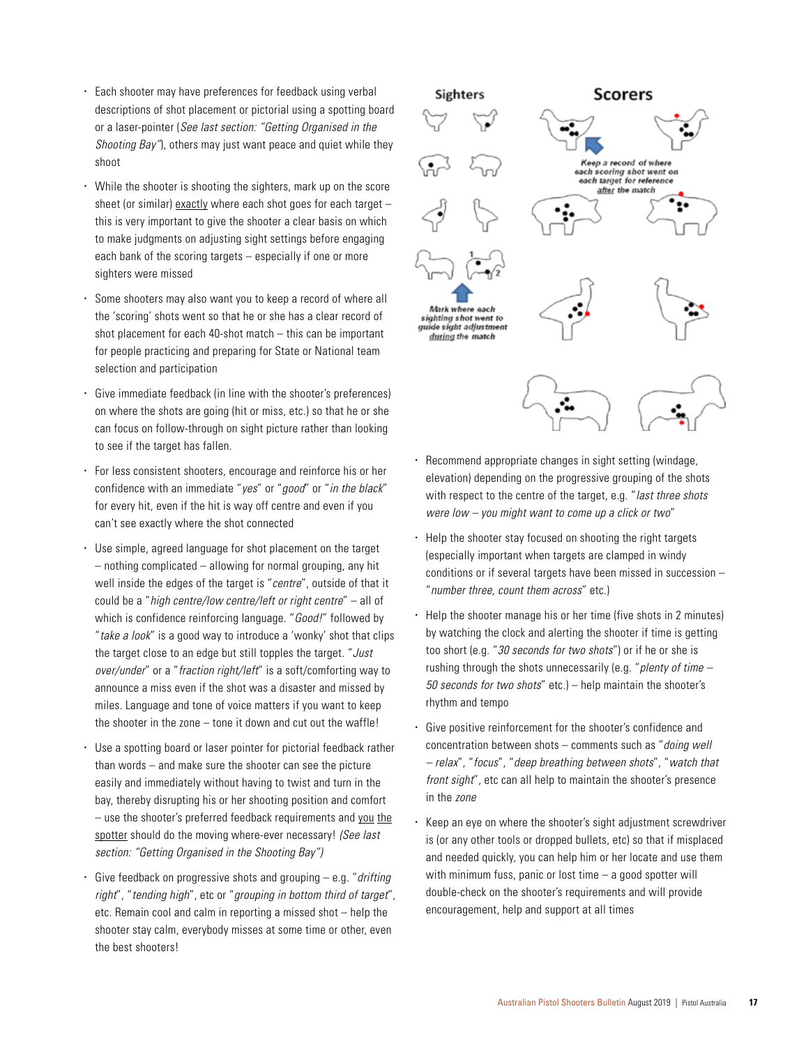- Each shooter may have preferences for feedback using verbal descriptions of shot placement or pictorial using a spotting board or a laser-pointer (*See last section: "Getting Organised in the Shooting Bay"*), others may just want peace and quiet while they shoot
- While the shooter is shooting the sighters, mark up on the score sheet (or similar) exactly where each shot goes for each target – this is very important to give the shooter a clear basis on which to make judgments on adjusting sight settings before engaging each bank of the scoring targets – especially if one or more sighters were missed
- Some shooters may also want you to keep a record of where all the 'scoring' shots went so that he or she has a clear record of shot placement for each 40-shot match – this can be important for people practicing and preparing for State or National team selection and participation
- Give immediate feedback (in line with the shooter's preferences) on where the shots are going (hit or miss, etc.) so that he or she can focus on follow-through on sight picture rather than looking to see if the target has fallen.
- For less consistent shooters, encourage and reinforce his or her confidence with an immediate "*yes*" or "*good*" or "*in the black*" for every hit, even if the hit is way off centre and even if you can't see exactly where the shot connected
- Use simple, agreed language for shot placement on the target – nothing complicated – allowing for normal grouping, any hit well inside the edges of the target is "*centre*", outside of that it could be a "*high centre/low centre/left or right centre*" – all of which is confidence reinforcing language. "*Good!*" followed by "*take a look*" is a good way to introduce a 'wonky' shot that clips the target close to an edge but still topples the target. "*Just over/under*" or a "*fraction right/left*" is a soft/comforting way to announce a miss even if the shot was a disaster and missed by miles. Language and tone of voice matters if you want to keep the shooter in the zone – tone it down and cut out the waffle!
- Use a spotting board or laser pointer for pictorial feedback rather than words – and make sure the shooter can see the picture easily and immediately without having to twist and turn in the bay, thereby disrupting his or her shooting position and comfort – use the shooter's preferred feedback requirements and you the spotter should do the moving where-ever necessary! *(See last section: "Getting Organised in the Shooting Bay")*
- Give feedback on progressive shots and grouping e.g. "*drifting right*", "*tending high*", etc or "*grouping in bottom third of target*", etc. Remain cool and calm in reporting a missed shot – help the shooter stay calm, everybody misses at some time or other, even the best shooters!



- Recommend appropriate changes in sight setting (windage, elevation) depending on the progressive grouping of the shots with respect to the centre of the target, e.g. "*last three shots were low – you might want to come up a click or two*"
- $\cdot$  Help the shooter stay focused on shooting the right targets (especially important when targets are clamped in windy conditions or if several targets have been missed in succession – "*number three, count them across*" etc.)
- Help the shooter manage his or her time (five shots in 2 minutes) by watching the clock and alerting the shooter if time is getting too short (e.g. "*30 seconds for two shots*") or if he or she is rushing through the shots unnecessarily (e.g. "*plenty of time – 50 seconds for two shots*" etc.) – help maintain the shooter's rhythm and tempo
- Give positive reinforcement for the shooter's confidence and concentration between shots – comments such as "*doing well – relax*", "*focus*", "*deep breathing between shots*", "*watch that front sight*", etc can all help to maintain the shooter's presence in the *zone*
- Keep an eye on where the shooter's sight adjustment screwdriver is (or any other tools or dropped bullets, etc) so that if misplaced and needed quickly, you can help him or her locate and use them with minimum fuss, panic or lost time – a good spotter will double-check on the shooter's requirements and will provide encouragement, help and support at all times